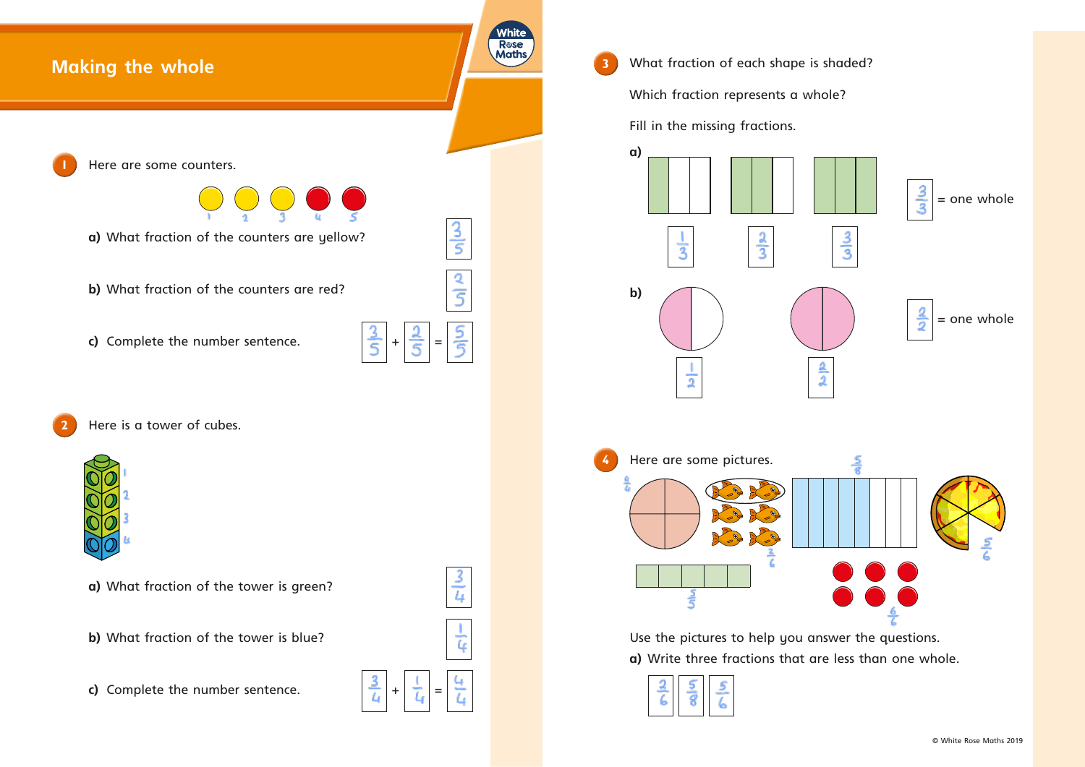

**3** What fraction of each shape is shaded? Which fraction represents a whole? Fill in the missing fractions. **a)** دوإس  $\overline{3}$ **b)**  $\dot{\overline{2}}$ **4** Here are some pictures. ی<br>آگ



 Use the pictures to help you answer the questions. **a)** Write three fractions that are less than one whole.

|--|--|--|